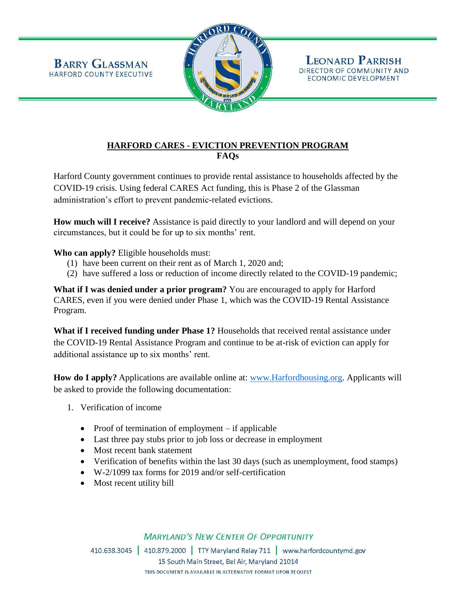

## **HARFORD CARES - EVICTION PREVENTION PROGRAM FAQs**

Harford County government continues to provide rental assistance to households affected by the COVID-19 crisis. Using federal CARES Act funding, this is Phase 2 of the Glassman administration's effort to prevent pandemic-related evictions.

**How much will I receive?** Assistance is paid directly to your landlord and will depend on your circumstances, but it could be for up to six months' rent.

**Who can apply?** Eligible households must:

- (1) have been current on their rent as of March 1, 2020 and;
- (2) have suffered a loss or reduction of income directly related to the COVID-19 pandemic;

**What if I was denied under a prior program?** You are encouraged to apply for Harford CARES, even if you were denied under Phase 1, which was the COVID-19 Rental Assistance Program.

**What if I received funding under Phase 1?** Households that received rental assistance under the COVID-19 Rental Assistance Program and continue to be at-risk of eviction can apply for additional assistance up to six months' rent.

**How do I apply?** Applications are available online at: [www.Harfordhousing.org.](http://www.harfordhousing.org/) Applicants will be asked to provide the following documentation:

- 1. Verification of income
	- Proof of termination of employment  $-$  if applicable
	- Last three pay stubs prior to job loss or decrease in employment
	- Most recent bank statement
	- Verification of benefits within the last 30 days (such as unemployment, food stamps)
	- W-2/1099 tax forms for 2019 and/or self-certification
	- Most recent utility bill

## **MARYLAND'S NEW CENTER OF OPPORTUNITY**

410.638.3045 410.879.2000 TTY Maryland Relay 711 www.harfordcountymd.gov 15 South Main Street, Bel Air, Maryland 21014 THIS DOCUMENT IS AVAILABLE IN ALTERNATIVE FORMAT UPON REQUEST